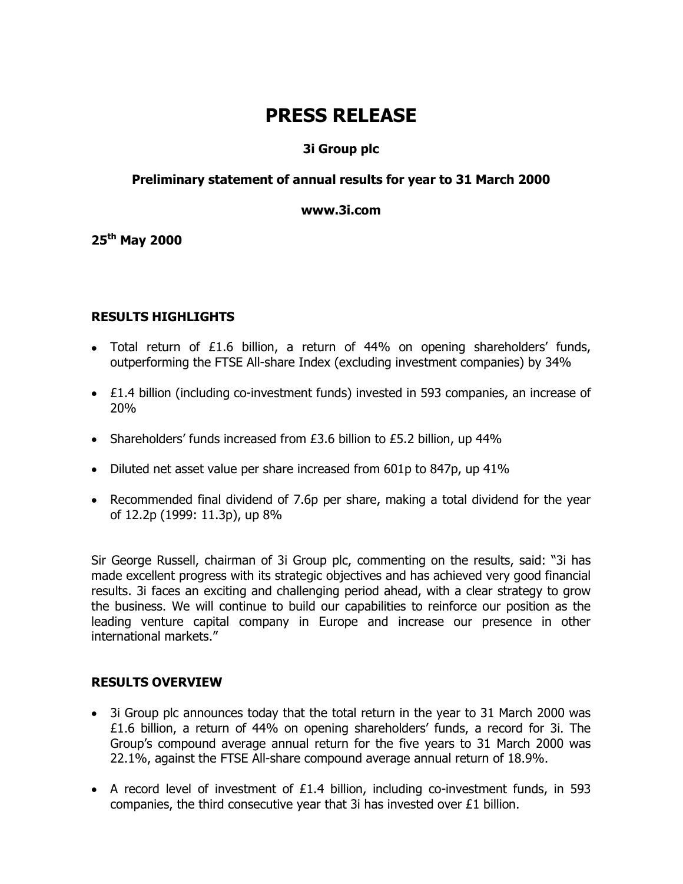# **PRESS RELEASE**

# **3i Group plc**

## **Preliminary statement of annual results for year to 31 March 2000**

#### **www.3i.com**

**25th May 2000** 

## **RESULTS HIGHLIGHTS**

- Total return of £1.6 billion, a return of 44% on opening shareholders' funds, outperforming the FTSE All-share Index (excluding investment companies) by 34%
- £1.4 billion (including co-investment funds) invested in 593 companies, an increase of 20%
- Shareholders' funds increased from £3.6 billion to £5.2 billion, up 44%
- Diluted net asset value per share increased from 601p to 847p, up 41%
- Recommended final dividend of 7.6p per share, making a total dividend for the year of 12.2p (1999: 11.3p), up 8%

Sir George Russell, chairman of 3i Group plc, commenting on the results, said: "3i has made excellent progress with its strategic objectives and has achieved very good financial results. 3i faces an exciting and challenging period ahead, with a clear strategy to grow the business. We will continue to build our capabilities to reinforce our position as the leading venture capital company in Europe and increase our presence in other international markets."

#### **RESULTS OVERVIEW**

- 3i Group plc announces today that the total return in the year to 31 March 2000 was £1.6 billion, a return of 44% on opening shareholders' funds, a record for 3i. The Group's compound average annual return for the five years to 31 March 2000 was 22.1%, against the FTSE All-share compound average annual return of 18.9%.
- A record level of investment of £1.4 billion, including co-investment funds, in 593 companies, the third consecutive year that 3i has invested over £1 billion.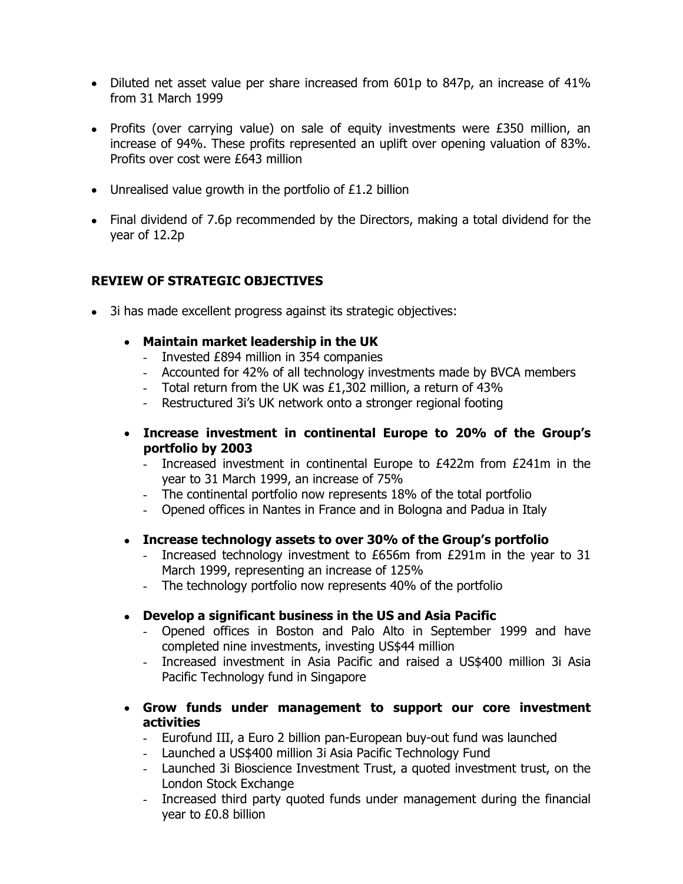- Diluted net asset value per share increased from 601p to 847p, an increase of 41% from 31 March 1999
- Profits (over carrying value) on sale of equity investments were £350 million, an increase of 94%. These profits represented an uplift over opening valuation of 83%. Profits over cost were £643 million
- Unrealised value growth in the portfolio of £1.2 billion
- Final dividend of 7.6p recommended by the Directors, making a total dividend for the year of 12.2p

# **REVIEW OF STRATEGIC OBJECTIVES**

- 3i has made excellent progress against its strategic objectives:
	- **Maintain market leadership in the UK** 
		- Invested £894 million in 354 companies
		- Accounted for 42% of all technology investments made by BVCA members
		- Total return from the UK was £1,302 million, a return of 43%
		- Restructured 3i's UK network onto a stronger regional footing
	- **Increase investment in continental Europe to 20% of the Group's portfolio by 2003** 
		- Increased investment in continental Europe to £422m from £241m in the year to 31 March 1999, an increase of 75%
		- The continental portfolio now represents 18% of the total portfolio
		- Opened offices in Nantes in France and in Bologna and Padua in Italy
	- **Increase technology assets to over 30% of the Group's portfolio** 
		- Increased technology investment to £656m from £291m in the year to 31 March 1999, representing an increase of 125%
		- The technology portfolio now represents 40% of the portfolio
	- **Develop a significant business in the US and Asia Pacific** 
		- Opened offices in Boston and Palo Alto in September 1999 and have completed nine investments, investing US\$44 million
		- Increased investment in Asia Pacific and raised a US\$400 million 3i Asia Pacific Technology fund in Singapore
	- **Grow funds under management to support our core investment activities** 
		- Eurofund III, a Euro 2 billion pan-European buy-out fund was launched
		- Launched a US\$400 million 3i Asia Pacific Technology Fund
		- Launched 3i Bioscience Investment Trust, a quoted investment trust, on the London Stock Exchange
		- Increased third party quoted funds under management during the financial year to £0.8 billion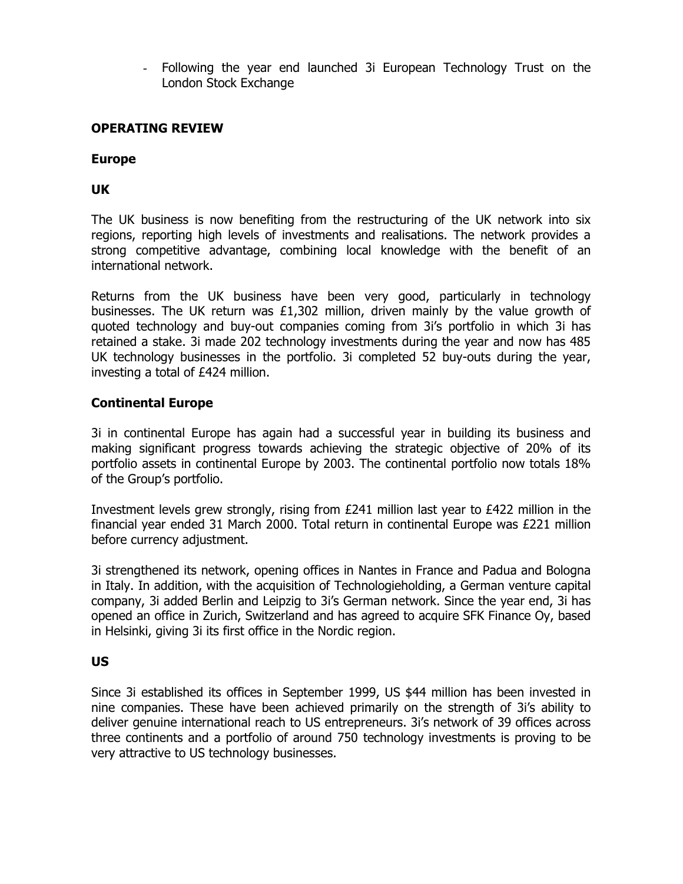- Following the year end launched 3i European Technology Trust on the London Stock Exchange

## **OPERATING REVIEW**

#### **Europe**

## **UK**

The UK business is now benefiting from the restructuring of the UK network into six regions, reporting high levels of investments and realisations. The network provides a strong competitive advantage, combining local knowledge with the benefit of an international network.

Returns from the UK business have been very good, particularly in technology businesses. The UK return was £1,302 million, driven mainly by the value growth of quoted technology and buy-out companies coming from 3i's portfolio in which 3i has retained a stake. 3i made 202 technology investments during the year and now has 485 UK technology businesses in the portfolio. 3i completed 52 buy-outs during the year, investing a total of £424 million.

## **Continental Europe**

3i in continental Europe has again had a successful year in building its business and making significant progress towards achieving the strategic objective of 20% of its portfolio assets in continental Europe by 2003. The continental portfolio now totals 18% of the Group's portfolio.

Investment levels grew strongly, rising from £241 million last year to £422 million in the financial year ended 31 March 2000. Total return in continental Europe was £221 million before currency adjustment.

3i strengthened its network, opening offices in Nantes in France and Padua and Bologna in Italy. In addition, with the acquisition of Technologieholding, a German venture capital company, 3i added Berlin and Leipzig to 3i's German network. Since the year end, 3i has opened an office in Zurich, Switzerland and has agreed to acquire SFK Finance Oy, based in Helsinki, giving 3i its first office in the Nordic region.

#### **US**

Since 3i established its offices in September 1999, US \$44 million has been invested in nine companies. These have been achieved primarily on the strength of 3i's ability to deliver genuine international reach to US entrepreneurs. 3i's network of 39 offices across three continents and a portfolio of around 750 technology investments is proving to be very attractive to US technology businesses.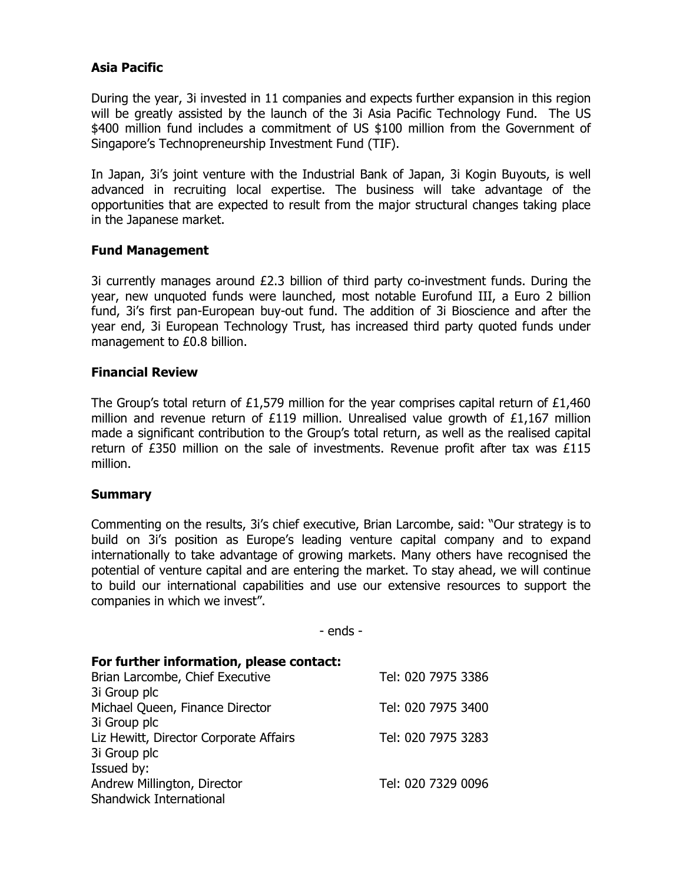# **Asia Pacific**

During the year, 3i invested in 11 companies and expects further expansion in this region will be greatly assisted by the launch of the 3i Asia Pacific Technology Fund. The US \$400 million fund includes a commitment of US \$100 million from the Government of Singapore's Technopreneurship Investment Fund (TIF).

In Japan, 3i's joint venture with the Industrial Bank of Japan, 3i Kogin Buyouts, is well advanced in recruiting local expertise. The business will take advantage of the opportunities that are expected to result from the major structural changes taking place in the Japanese market.

## **Fund Management**

3i currently manages around £2.3 billion of third party co-investment funds. During the year, new unquoted funds were launched, most notable Eurofund III, a Euro 2 billion fund, 3i's first pan-European buy-out fund. The addition of 3i Bioscience and after the year end, 3i European Technology Trust, has increased third party quoted funds under management to £0.8 billion.

#### **Financial Review**

The Group's total return of £1,579 million for the year comprises capital return of £1,460 million and revenue return of £119 million. Unrealised value growth of £1,167 million made a significant contribution to the Group's total return, as well as the realised capital return of £350 million on the sale of investments. Revenue profit after tax was  $£115$ million.

#### **Summary**

Commenting on the results, 3i's chief executive, Brian Larcombe, said: "Our strategy is to build on 3i's position as Europe's leading venture capital company and to expand internationally to take advantage of growing markets. Many others have recognised the potential of venture capital and are entering the market. To stay ahead, we will continue to build our international capabilities and use our extensive resources to support the companies in which we invest".

- ends -

| For further information, please contact: |                    |
|------------------------------------------|--------------------|
| Brian Larcombe, Chief Executive          | Tel: 020 7975 3386 |
| 3i Group plc                             |                    |
| Michael Queen, Finance Director          | Tel: 020 7975 3400 |
| 3i Group plc                             |                    |
| Liz Hewitt, Director Corporate Affairs   | Tel: 020 7975 3283 |
| 3i Group plc                             |                    |
| Issued by:                               |                    |
| Andrew Millington, Director              | Tel: 020 7329 0096 |
| <b>Shandwick International</b>           |                    |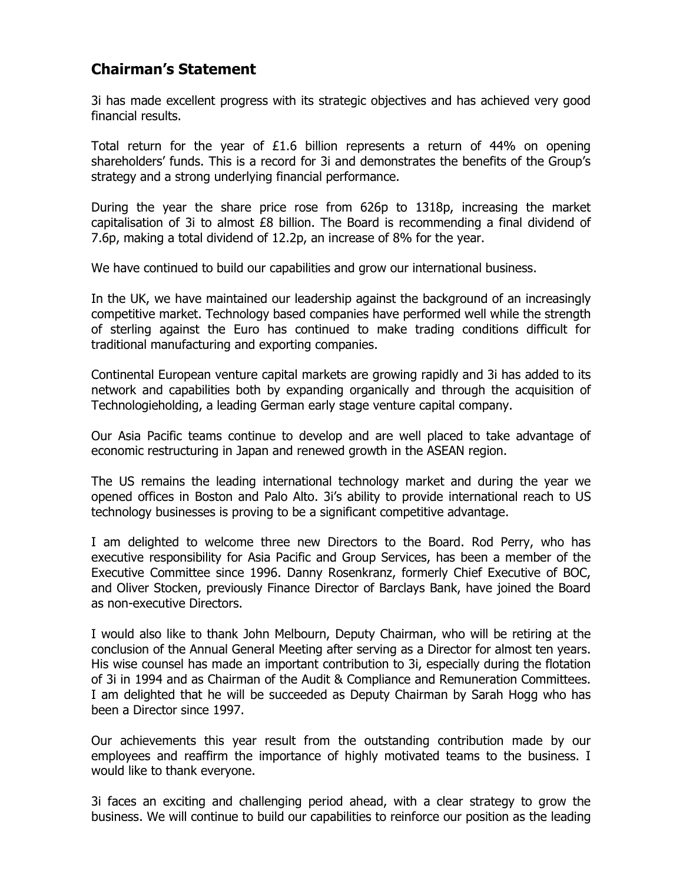# **Chairman's Statement**

3i has made excellent progress with its strategic objectives and has achieved very good financial results.

Total return for the year of £1.6 billion represents a return of 44% on opening shareholders' funds. This is a record for 3i and demonstrates the benefits of the Group's strategy and a strong underlying financial performance.

During the year the share price rose from 626p to 1318p, increasing the market capitalisation of 3i to almost £8 billion. The Board is recommending a final dividend of 7.6p, making a total dividend of 12.2p, an increase of 8% for the year.

We have continued to build our capabilities and grow our international business.

In the UK, we have maintained our leadership against the background of an increasingly competitive market. Technology based companies have performed well while the strength of sterling against the Euro has continued to make trading conditions difficult for traditional manufacturing and exporting companies.

Continental European venture capital markets are growing rapidly and 3i has added to its network and capabilities both by expanding organically and through the acquisition of Technologieholding, a leading German early stage venture capital company.

Our Asia Pacific teams continue to develop and are well placed to take advantage of economic restructuring in Japan and renewed growth in the ASEAN region.

The US remains the leading international technology market and during the year we opened offices in Boston and Palo Alto. 3i's ability to provide international reach to US technology businesses is proving to be a significant competitive advantage.

I am delighted to welcome three new Directors to the Board. Rod Perry, who has executive responsibility for Asia Pacific and Group Services, has been a member of the Executive Committee since 1996. Danny Rosenkranz, formerly Chief Executive of BOC, and Oliver Stocken, previously Finance Director of Barclays Bank, have joined the Board as non-executive Directors.

I would also like to thank John Melbourn, Deputy Chairman, who will be retiring at the conclusion of the Annual General Meeting after serving as a Director for almost ten years. His wise counsel has made an important contribution to 3i, especially during the flotation of 3i in 1994 and as Chairman of the Audit & Compliance and Remuneration Committees. I am delighted that he will be succeeded as Deputy Chairman by Sarah Hogg who has been a Director since 1997.

Our achievements this year result from the outstanding contribution made by our employees and reaffirm the importance of highly motivated teams to the business. I would like to thank everyone.

3i faces an exciting and challenging period ahead, with a clear strategy to grow the business. We will continue to build our capabilities to reinforce our position as the leading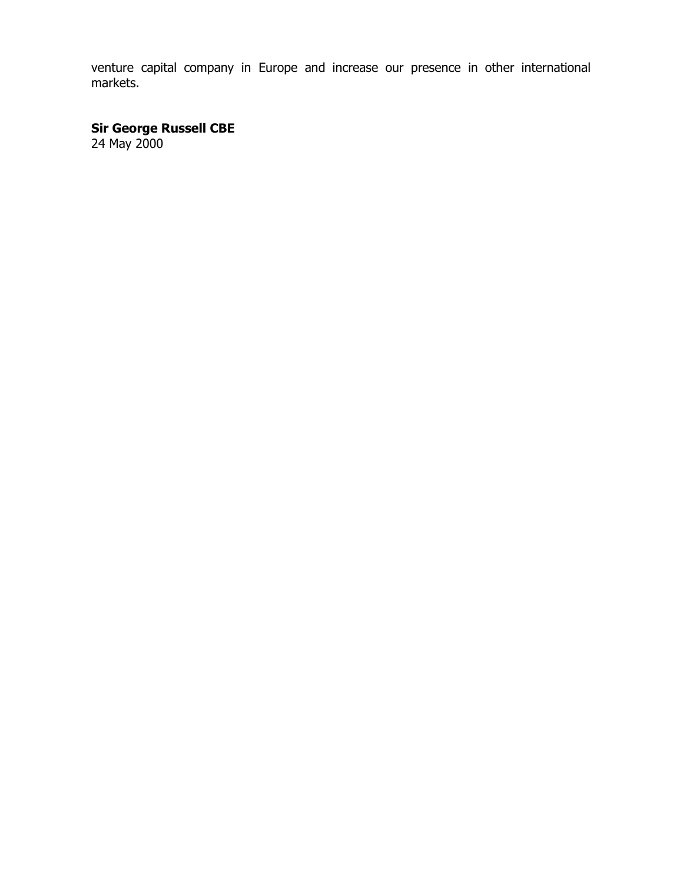venture capital company in Europe and increase our presence in other international markets.

**Sir George Russell CBE** 24 May 2000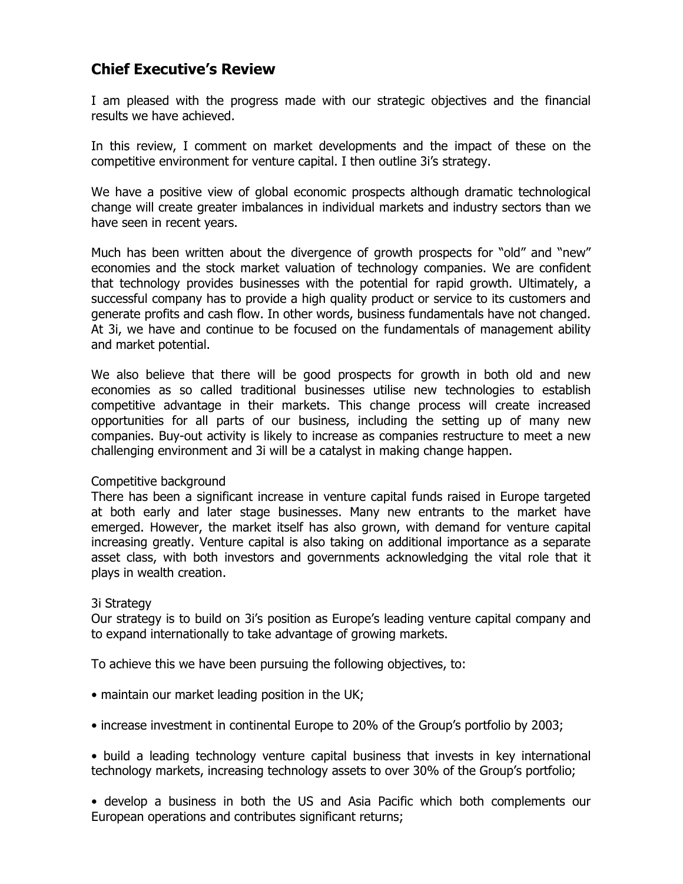# **Chief Executive's Review**

I am pleased with the progress made with our strategic objectives and the financial results we have achieved.

In this review, I comment on market developments and the impact of these on the competitive environment for venture capital. I then outline 3i's strategy.

We have a positive view of global economic prospects although dramatic technological change will create greater imbalances in individual markets and industry sectors than we have seen in recent years.

Much has been written about the divergence of growth prospects for "old" and "new" economies and the stock market valuation of technology companies. We are confident that technology provides businesses with the potential for rapid growth. Ultimately, a successful company has to provide a high quality product or service to its customers and generate profits and cash flow. In other words, business fundamentals have not changed. At 3i, we have and continue to be focused on the fundamentals of management ability and market potential.

We also believe that there will be good prospects for growth in both old and new economies as so called traditional businesses utilise new technologies to establish competitive advantage in their markets. This change process will create increased opportunities for all parts of our business, including the setting up of many new companies. Buy-out activity is likely to increase as companies restructure to meet a new challenging environment and 3i will be a catalyst in making change happen.

#### Competitive background

There has been a significant increase in venture capital funds raised in Europe targeted at both early and later stage businesses. Many new entrants to the market have emerged. However, the market itself has also grown, with demand for venture capital increasing greatly. Venture capital is also taking on additional importance as a separate asset class, with both investors and governments acknowledging the vital role that it plays in wealth creation.

#### 3i Strategy

Our strategy is to build on 3i's position as Europe's leading venture capital company and to expand internationally to take advantage of growing markets.

To achieve this we have been pursuing the following objectives, to:

- maintain our market leading position in the UK;
- increase investment in continental Europe to 20% of the Group's portfolio by 2003;
- build a leading technology venture capital business that invests in key international technology markets, increasing technology assets to over 30% of the Group's portfolio;

• develop a business in both the US and Asia Pacific which both complements our European operations and contributes significant returns;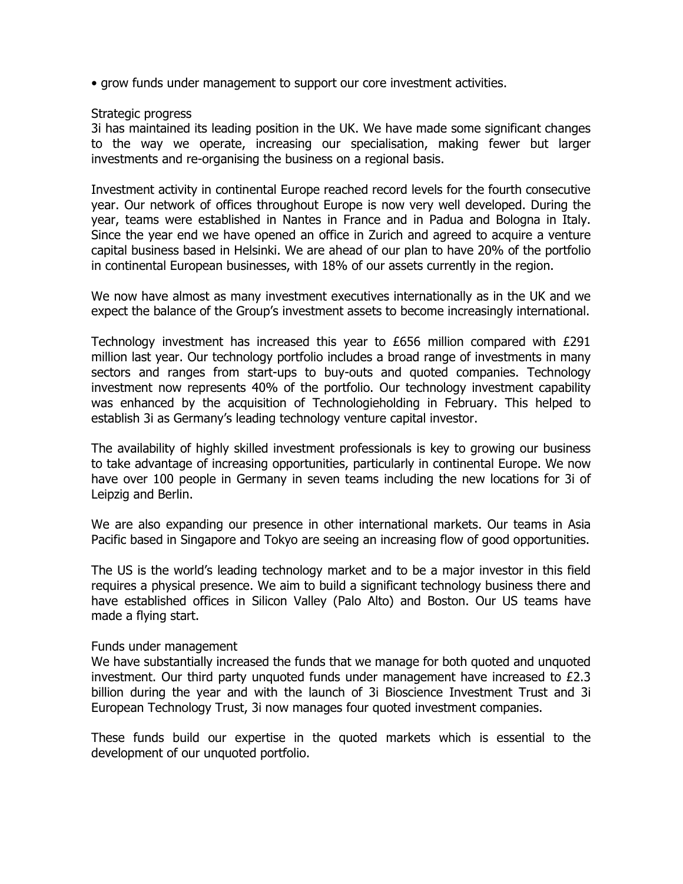• grow funds under management to support our core investment activities.

#### Strategic progress

3i has maintained its leading position in the UK. We have made some significant changes to the way we operate, increasing our specialisation, making fewer but larger investments and re-organising the business on a regional basis.

Investment activity in continental Europe reached record levels for the fourth consecutive year. Our network of offices throughout Europe is now very well developed. During the year, teams were established in Nantes in France and in Padua and Bologna in Italy. Since the year end we have opened an office in Zurich and agreed to acquire a venture capital business based in Helsinki. We are ahead of our plan to have 20% of the portfolio in continental European businesses, with 18% of our assets currently in the region.

We now have almost as many investment executives internationally as in the UK and we expect the balance of the Group's investment assets to become increasingly international.

Technology investment has increased this year to £656 million compared with £291 million last year. Our technology portfolio includes a broad range of investments in many sectors and ranges from start-ups to buy-outs and quoted companies. Technology investment now represents 40% of the portfolio. Our technology investment capability was enhanced by the acquisition of Technologieholding in February. This helped to establish 3i as Germany's leading technology venture capital investor.

The availability of highly skilled investment professionals is key to growing our business to take advantage of increasing opportunities, particularly in continental Europe. We now have over 100 people in Germany in seven teams including the new locations for 3i of Leipzig and Berlin.

We are also expanding our presence in other international markets. Our teams in Asia Pacific based in Singapore and Tokyo are seeing an increasing flow of good opportunities.

The US is the world's leading technology market and to be a major investor in this field requires a physical presence. We aim to build a significant technology business there and have established offices in Silicon Valley (Palo Alto) and Boston. Our US teams have made a flying start.

#### Funds under management

We have substantially increased the funds that we manage for both quoted and unquoted investment. Our third party unquoted funds under management have increased to £2.3 billion during the year and with the launch of 3i Bioscience Investment Trust and 3i European Technology Trust, 3i now manages four quoted investment companies.

These funds build our expertise in the quoted markets which is essential to the development of our unquoted portfolio.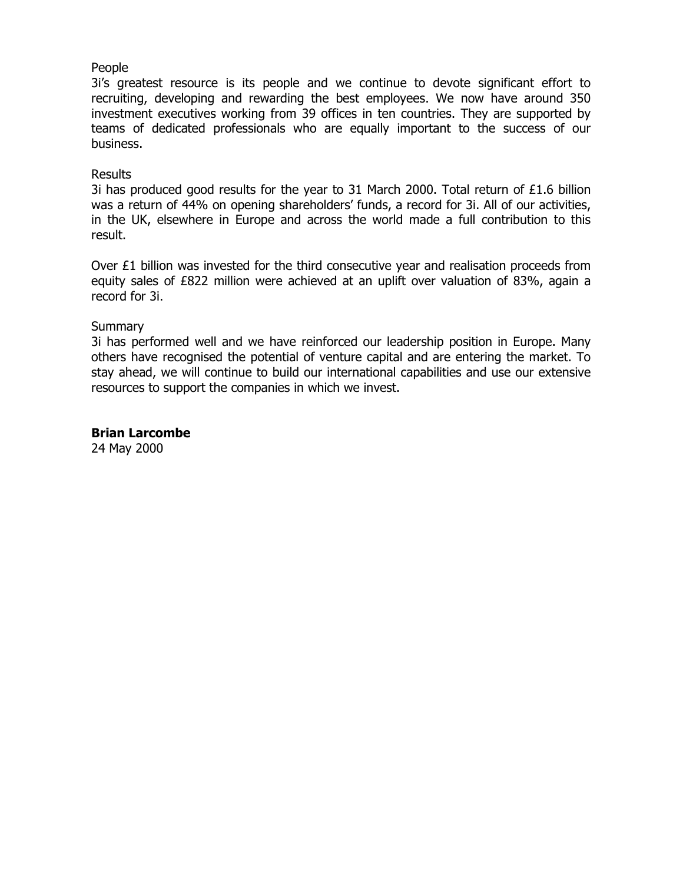## People

3i's greatest resource is its people and we continue to devote significant effort to recruiting, developing and rewarding the best employees. We now have around 350 investment executives working from 39 offices in ten countries. They are supported by teams of dedicated professionals who are equally important to the success of our business.

## Results

3i has produced good results for the year to 31 March 2000. Total return of  $£1.6$  billion was a return of 44% on opening shareholders' funds, a record for 3i. All of our activities, in the UK, elsewhere in Europe and across the world made a full contribution to this result.

Over  $\epsilon$ 1 billion was invested for the third consecutive year and realisation proceeds from equity sales of £822 million were achieved at an uplift over valuation of 83%, again a record for 3i.

## Summary

3i has performed well and we have reinforced our leadership position in Europe. Many others have recognised the potential of venture capital and are entering the market. To stay ahead, we will continue to build our international capabilities and use our extensive resources to support the companies in which we invest.

**Brian Larcombe**

24 May 2000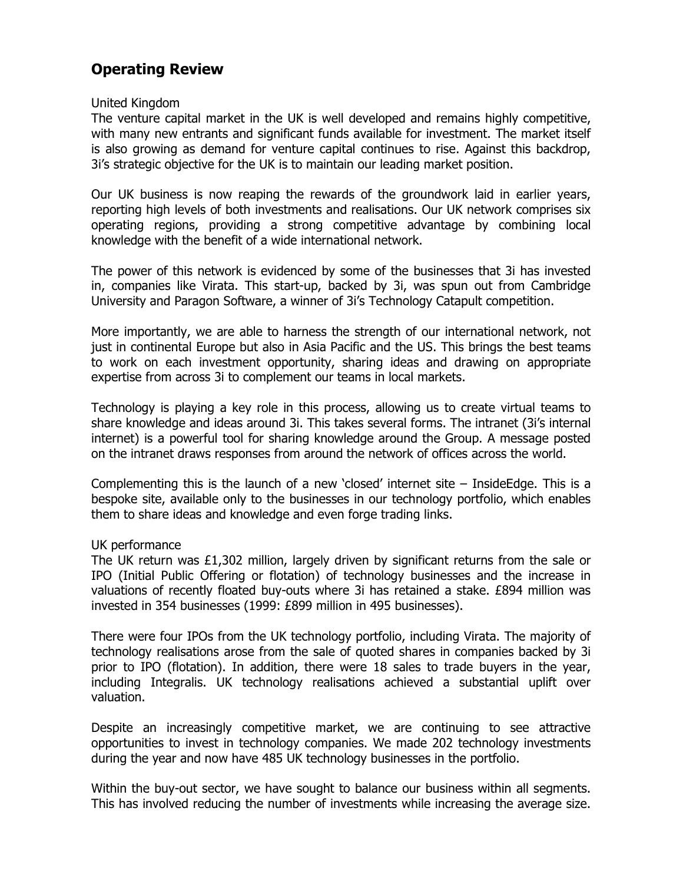# **Operating Review**

#### United Kingdom

The venture capital market in the UK is well developed and remains highly competitive, with many new entrants and significant funds available for investment. The market itself is also growing as demand for venture capital continues to rise. Against this backdrop, 3i's strategic objective for the UK is to maintain our leading market position.

Our UK business is now reaping the rewards of the groundwork laid in earlier years, reporting high levels of both investments and realisations. Our UK network comprises six operating regions, providing a strong competitive advantage by combining local knowledge with the benefit of a wide international network.

The power of this network is evidenced by some of the businesses that 3i has invested in, companies like Virata. This start-up, backed by 3i, was spun out from Cambridge University and Paragon Software, a winner of 3i's Technology Catapult competition.

More importantly, we are able to harness the strength of our international network, not just in continental Europe but also in Asia Pacific and the US. This brings the best teams to work on each investment opportunity, sharing ideas and drawing on appropriate expertise from across 3i to complement our teams in local markets.

Technology is playing a key role in this process, allowing us to create virtual teams to share knowledge and ideas around 3i. This takes several forms. The intranet (3i's internal internet) is a powerful tool for sharing knowledge around the Group. A message posted on the intranet draws responses from around the network of offices across the world.

Complementing this is the launch of a new 'closed' internet site – InsideEdge. This is a bespoke site, available only to the businesses in our technology portfolio, which enables them to share ideas and knowledge and even forge trading links.

#### UK performance

The UK return was £1,302 million, largely driven by significant returns from the sale or IPO (Initial Public Offering or flotation) of technology businesses and the increase in valuations of recently floated buy-outs where 3i has retained a stake. £894 million was invested in 354 businesses (1999: £899 million in 495 businesses).

There were four IPOs from the UK technology portfolio, including Virata. The majority of technology realisations arose from the sale of quoted shares in companies backed by 3i prior to IPO (flotation). In addition, there were 18 sales to trade buyers in the year, including Integralis. UK technology realisations achieved a substantial uplift over valuation.

Despite an increasingly competitive market, we are continuing to see attractive opportunities to invest in technology companies. We made 202 technology investments during the year and now have 485 UK technology businesses in the portfolio.

Within the buy-out sector, we have sought to balance our business within all segments. This has involved reducing the number of investments while increasing the average size.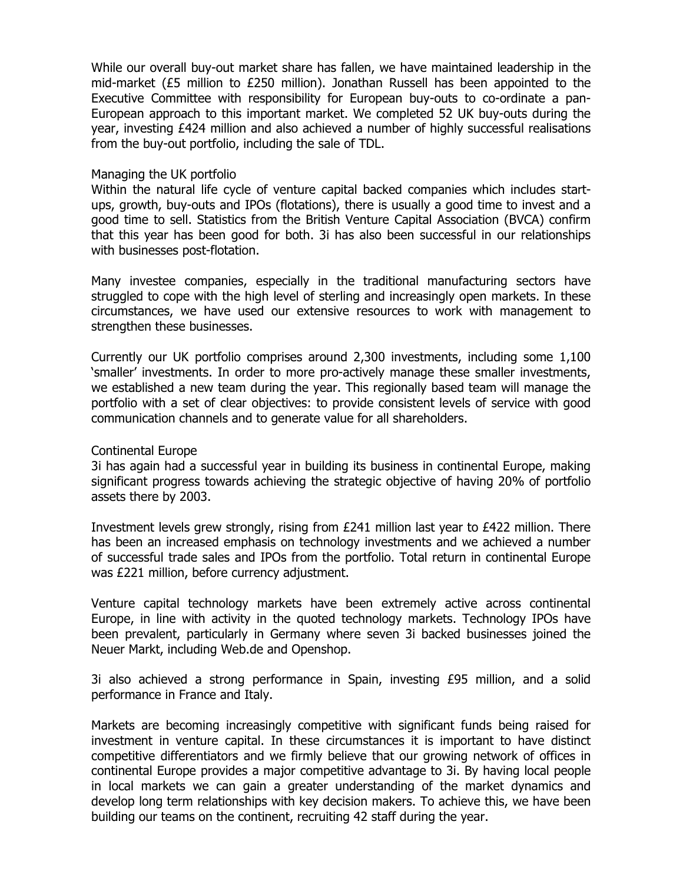While our overall buy-out market share has fallen, we have maintained leadership in the mid-market (£5 million to £250 million). Jonathan Russell has been appointed to the Executive Committee with responsibility for European buy-outs to co-ordinate a pan-European approach to this important market. We completed 52 UK buy-outs during the year, investing £424 million and also achieved a number of highly successful realisations from the buy-out portfolio, including the sale of TDL.

#### Managing the UK portfolio

Within the natural life cycle of venture capital backed companies which includes startups, growth, buy-outs and IPOs (flotations), there is usually a good time to invest and a good time to sell. Statistics from the British Venture Capital Association (BVCA) confirm that this year has been good for both. 3i has also been successful in our relationships with businesses post-flotation.

Many investee companies, especially in the traditional manufacturing sectors have struggled to cope with the high level of sterling and increasingly open markets. In these circumstances, we have used our extensive resources to work with management to strengthen these businesses.

Currently our UK portfolio comprises around 2,300 investments, including some 1,100 'smaller' investments. In order to more pro-actively manage these smaller investments, we established a new team during the year. This regionally based team will manage the portfolio with a set of clear objectives: to provide consistent levels of service with good communication channels and to generate value for all shareholders.

#### Continental Europe

3i has again had a successful year in building its business in continental Europe, making significant progress towards achieving the strategic objective of having 20% of portfolio assets there by 2003.

Investment levels grew strongly, rising from  $E241$  million last year to  $E422$  million. There has been an increased emphasis on technology investments and we achieved a number of successful trade sales and IPOs from the portfolio. Total return in continental Europe was £221 million, before currency adjustment.

Venture capital technology markets have been extremely active across continental Europe, in line with activity in the quoted technology markets. Technology IPOs have been prevalent, particularly in Germany where seven 3i backed businesses joined the Neuer Markt, including Web.de and Openshop.

3i also achieved a strong performance in Spain, investing  $E95$  million, and a solid performance in France and Italy.

Markets are becoming increasingly competitive with significant funds being raised for investment in venture capital. In these circumstances it is important to have distinct competitive differentiators and we firmly believe that our growing network of offices in continental Europe provides a major competitive advantage to 3i. By having local people in local markets we can gain a greater understanding of the market dynamics and develop long term relationships with key decision makers. To achieve this, we have been building our teams on the continent, recruiting 42 staff during the year.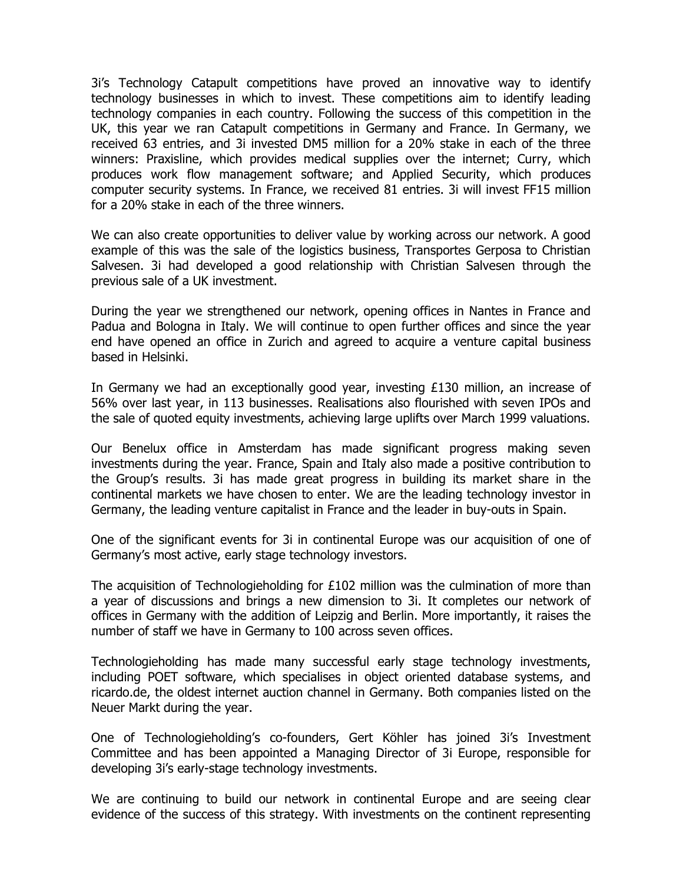3i's Technology Catapult competitions have proved an innovative way to identify technology businesses in which to invest. These competitions aim to identify leading technology companies in each country. Following the success of this competition in the UK, this year we ran Catapult competitions in Germany and France. In Germany, we received 63 entries, and 3i invested DM5 million for a 20% stake in each of the three winners: Praxisline, which provides medical supplies over the internet; Curry, which produces work flow management software; and Applied Security, which produces computer security systems. In France, we received 81 entries. 3i will invest FF15 million for a 20% stake in each of the three winners.

We can also create opportunities to deliver value by working across our network. A good example of this was the sale of the logistics business, Transportes Gerposa to Christian Salvesen. 3i had developed a good relationship with Christian Salvesen through the previous sale of a UK investment.

During the year we strengthened our network, opening offices in Nantes in France and Padua and Bologna in Italy. We will continue to open further offices and since the year end have opened an office in Zurich and agreed to acquire a venture capital business based in Helsinki.

In Germany we had an exceptionally good year, investing £130 million, an increase of 56% over last year, in 113 businesses. Realisations also flourished with seven IPOs and the sale of quoted equity investments, achieving large uplifts over March 1999 valuations.

Our Benelux office in Amsterdam has made significant progress making seven investments during the year. France, Spain and Italy also made a positive contribution to the Group's results. 3i has made great progress in building its market share in the continental markets we have chosen to enter. We are the leading technology investor in Germany, the leading venture capitalist in France and the leader in buy-outs in Spain.

One of the significant events for 3i in continental Europe was our acquisition of one of Germany's most active, early stage technology investors.

The acquisition of Technologieholding for £102 million was the culmination of more than a year of discussions and brings a new dimension to 3i. It completes our network of offices in Germany with the addition of Leipzig and Berlin. More importantly, it raises the number of staff we have in Germany to 100 across seven offices.

Technologieholding has made many successful early stage technology investments, including POET software, which specialises in object oriented database systems, and ricardo.de, the oldest internet auction channel in Germany. Both companies listed on the Neuer Markt during the year.

One of Technologieholding's co-founders, Gert Köhler has joined 3i's Investment Committee and has been appointed a Managing Director of 3i Europe, responsible for developing 3i's early-stage technology investments.

We are continuing to build our network in continental Europe and are seeing clear evidence of the success of this strategy. With investments on the continent representing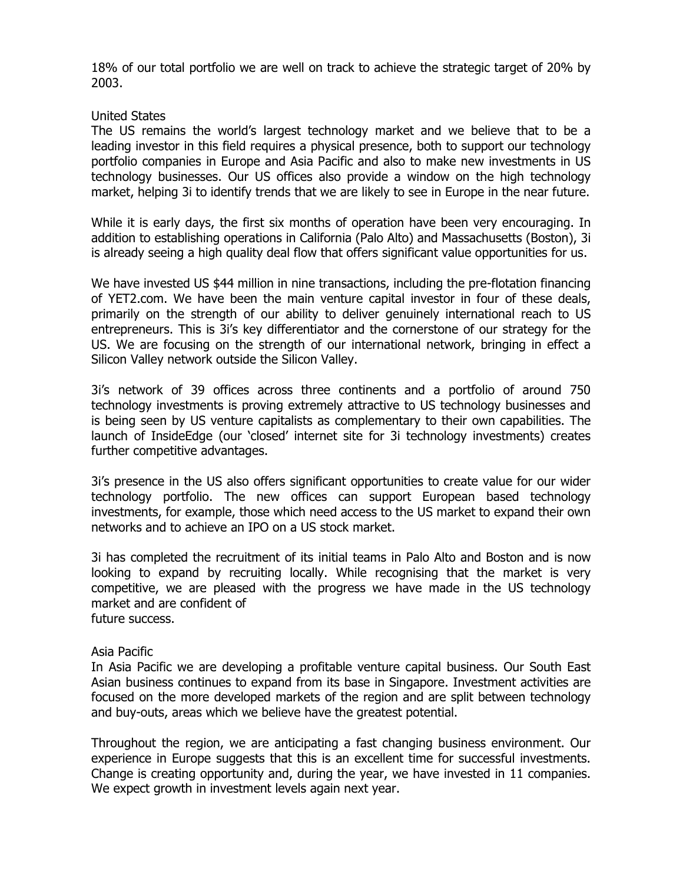18% of our total portfolio we are well on track to achieve the strategic target of 20% by 2003.

#### United States

The US remains the world's largest technology market and we believe that to be a leading investor in this field requires a physical presence, both to support our technology portfolio companies in Europe and Asia Pacific and also to make new investments in US technology businesses. Our US offices also provide a window on the high technology market, helping 3i to identify trends that we are likely to see in Europe in the near future.

While it is early days, the first six months of operation have been very encouraging. In addition to establishing operations in California (Palo Alto) and Massachusetts (Boston), 3i is already seeing a high quality deal flow that offers significant value opportunities for us.

We have invested US \$44 million in nine transactions, including the pre-flotation financing of YET2.com. We have been the main venture capital investor in four of these deals, primarily on the strength of our ability to deliver genuinely international reach to US entrepreneurs. This is 3i's key differentiator and the cornerstone of our strategy for the US. We are focusing on the strength of our international network, bringing in effect a Silicon Valley network outside the Silicon Valley.

3i's network of 39 offices across three continents and a portfolio of around 750 technology investments is proving extremely attractive to US technology businesses and is being seen by US venture capitalists as complementary to their own capabilities. The launch of InsideEdge (our 'closed' internet site for 3i technology investments) creates further competitive advantages.

3i's presence in the US also offers significant opportunities to create value for our wider technology portfolio. The new offices can support European based technology investments, for example, those which need access to the US market to expand their own networks and to achieve an IPO on a US stock market.

3i has completed the recruitment of its initial teams in Palo Alto and Boston and is now looking to expand by recruiting locally. While recognising that the market is very competitive, we are pleased with the progress we have made in the US technology market and are confident of future success.

#### Asia Pacific

In Asia Pacific we are developing a profitable venture capital business. Our South East Asian business continues to expand from its base in Singapore. Investment activities are focused on the more developed markets of the region and are split between technology and buy-outs, areas which we believe have the greatest potential.

Throughout the region, we are anticipating a fast changing business environment. Our experience in Europe suggests that this is an excellent time for successful investments. Change is creating opportunity and, during the year, we have invested in 11 companies. We expect growth in investment levels again next year.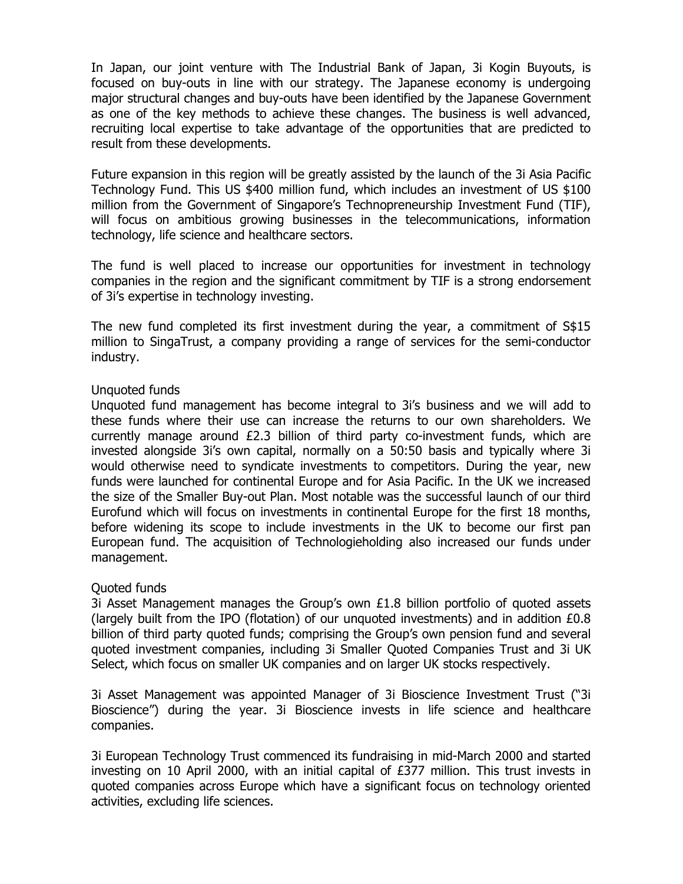In Japan, our joint venture with The Industrial Bank of Japan, 3i Kogin Buyouts, is focused on buy-outs in line with our strategy. The Japanese economy is undergoing major structural changes and buy-outs have been identified by the Japanese Government as one of the key methods to achieve these changes. The business is well advanced, recruiting local expertise to take advantage of the opportunities that are predicted to result from these developments.

Future expansion in this region will be greatly assisted by the launch of the 3i Asia Pacific Technology Fund. This US \$400 million fund, which includes an investment of US \$100 million from the Government of Singapore's Technopreneurship Investment Fund (TIF), will focus on ambitious growing businesses in the telecommunications, information technology, life science and healthcare sectors.

The fund is well placed to increase our opportunities for investment in technology companies in the region and the significant commitment by TIF is a strong endorsement of 3i's expertise in technology investing.

The new fund completed its first investment during the year, a commitment of S\$15 million to SingaTrust, a company providing a range of services for the semi-conductor industry.

#### Unquoted funds

Unquoted fund management has become integral to 3i's business and we will add to these funds where their use can increase the returns to our own shareholders. We currently manage around £2.3 billion of third party co-investment funds, which are invested alongside 3i's own capital, normally on a 50:50 basis and typically where 3i would otherwise need to syndicate investments to competitors. During the year, new funds were launched for continental Europe and for Asia Pacific. In the UK we increased the size of the Smaller Buy-out Plan. Most notable was the successful launch of our third Eurofund which will focus on investments in continental Europe for the first 18 months, before widening its scope to include investments in the UK to become our first pan European fund. The acquisition of Technologieholding also increased our funds under management.

#### Quoted funds

3i Asset Management manages the Group's own  $£1.8$  billion portfolio of quoted assets (largely built from the IPO (flotation) of our unquoted investments) and in addition £0.8 billion of third party quoted funds; comprising the Group's own pension fund and several quoted investment companies, including 3i Smaller Quoted Companies Trust and 3i UK Select, which focus on smaller UK companies and on larger UK stocks respectively.

3i Asset Management was appointed Manager of 3i Bioscience Investment Trust ("3i Bioscience") during the year. 3i Bioscience invests in life science and healthcare companies.

3i European Technology Trust commenced its fundraising in mid-March 2000 and started investing on 10 April 2000, with an initial capital of  $E377$  million. This trust invests in quoted companies across Europe which have a significant focus on technology oriented activities, excluding life sciences.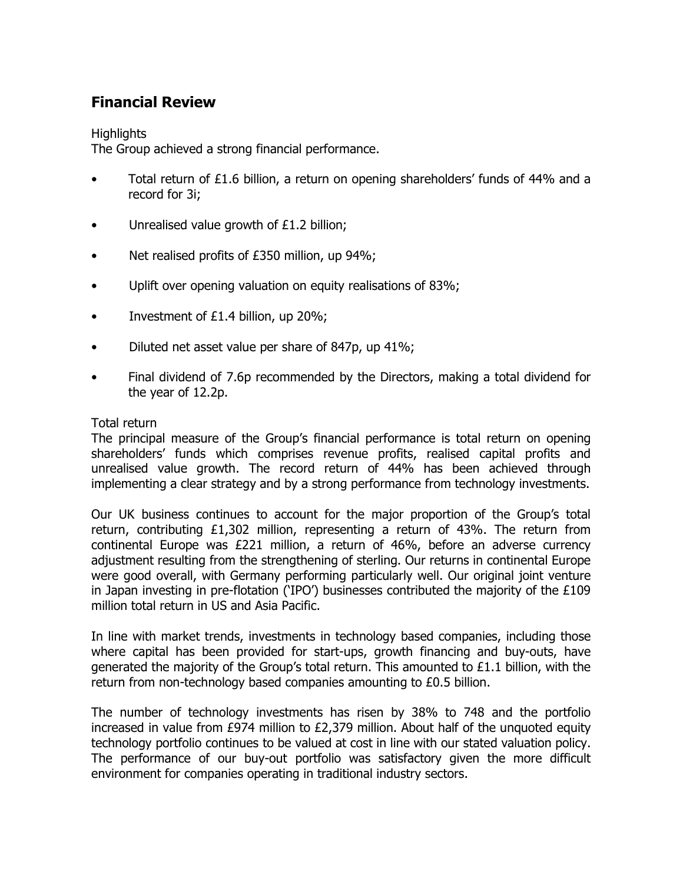# **Financial Review**

# **Highlights**

The Group achieved a strong financial performance.

- Total return of £1.6 billion, a return on opening shareholders' funds of 44% and a record for 3i;
- Unrealised value growth of £1.2 billion;
- Net realised profits of £350 million, up 94%;
- Uplift over opening valuation on equity realisations of 83%;
- Investment of £1.4 billion, up 20%;
- Diluted net asset value per share of 847p, up 41%;
- Final dividend of 7.6p recommended by the Directors, making a total dividend for the year of 12.2p.

## Total return

The principal measure of the Group's financial performance is total return on opening shareholders' funds which comprises revenue profits, realised capital profits and unrealised value growth. The record return of 44% has been achieved through implementing a clear strategy and by a strong performance from technology investments.

Our UK business continues to account for the major proportion of the Group's total return, contributing £1,302 million, representing a return of 43%. The return from continental Europe was £221 million, a return of 46%, before an adverse currency adjustment resulting from the strengthening of sterling. Our returns in continental Europe were good overall, with Germany performing particularly well. Our original joint venture in Japan investing in pre-flotation ('IPO') businesses contributed the majority of the £109 million total return in US and Asia Pacific.

In line with market trends, investments in technology based companies, including those where capital has been provided for start-ups, growth financing and buy-outs, have generated the majority of the Group's total return. This amounted to  $£1.1$  billion, with the return from non-technology based companies amounting to £0.5 billion.

The number of technology investments has risen by 38% to 748 and the portfolio increased in value from £974 million to £2,379 million. About half of the unquoted equity technology portfolio continues to be valued at cost in line with our stated valuation policy. The performance of our buy-out portfolio was satisfactory given the more difficult environment for companies operating in traditional industry sectors.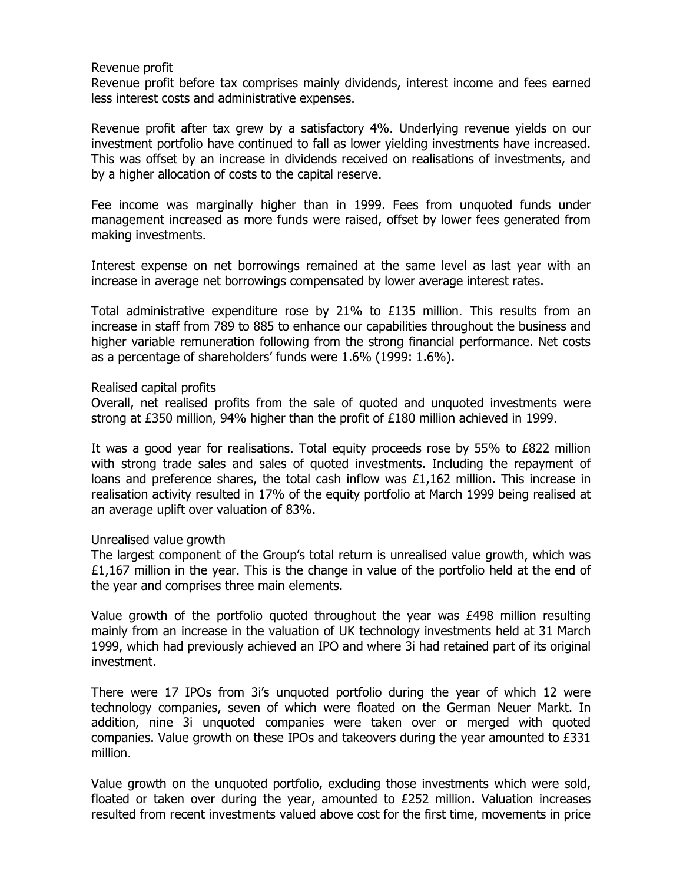#### Revenue profit

Revenue profit before tax comprises mainly dividends, interest income and fees earned less interest costs and administrative expenses.

Revenue profit after tax grew by a satisfactory 4%. Underlying revenue yields on our investment portfolio have continued to fall as lower yielding investments have increased. This was offset by an increase in dividends received on realisations of investments, and by a higher allocation of costs to the capital reserve.

Fee income was marginally higher than in 1999. Fees from unquoted funds under management increased as more funds were raised, offset by lower fees generated from making investments.

Interest expense on net borrowings remained at the same level as last year with an increase in average net borrowings compensated by lower average interest rates.

Total administrative expenditure rose by 21% to £135 million. This results from an increase in staff from 789 to 885 to enhance our capabilities throughout the business and higher variable remuneration following from the strong financial performance. Net costs as a percentage of shareholders' funds were 1.6% (1999: 1.6%).

#### Realised capital profits

Overall, net realised profits from the sale of quoted and unquoted investments were strong at £350 million, 94% higher than the profit of £180 million achieved in 1999.

It was a good year for realisations. Total equity proceeds rose by 55% to £822 million with strong trade sales and sales of quoted investments. Including the repayment of loans and preference shares, the total cash inflow was £1,162 million. This increase in realisation activity resulted in 17% of the equity portfolio at March 1999 being realised at an average uplift over valuation of 83%.

#### Unrealised value growth

The largest component of the Group's total return is unrealised value growth, which was £1,167 million in the year. This is the change in value of the portfolio held at the end of the year and comprises three main elements.

Value growth of the portfolio quoted throughout the year was £498 million resulting mainly from an increase in the valuation of UK technology investments held at 31 March 1999, which had previously achieved an IPO and where 3i had retained part of its original investment.

There were 17 IPOs from 3i's unquoted portfolio during the year of which 12 were technology companies, seven of which were floated on the German Neuer Markt. In addition, nine 3i unquoted companies were taken over or merged with quoted companies. Value growth on these IPOs and takeovers during the year amounted to £331 million.

Value growth on the unquoted portfolio, excluding those investments which were sold, floated or taken over during the year, amounted to £252 million. Valuation increases resulted from recent investments valued above cost for the first time, movements in price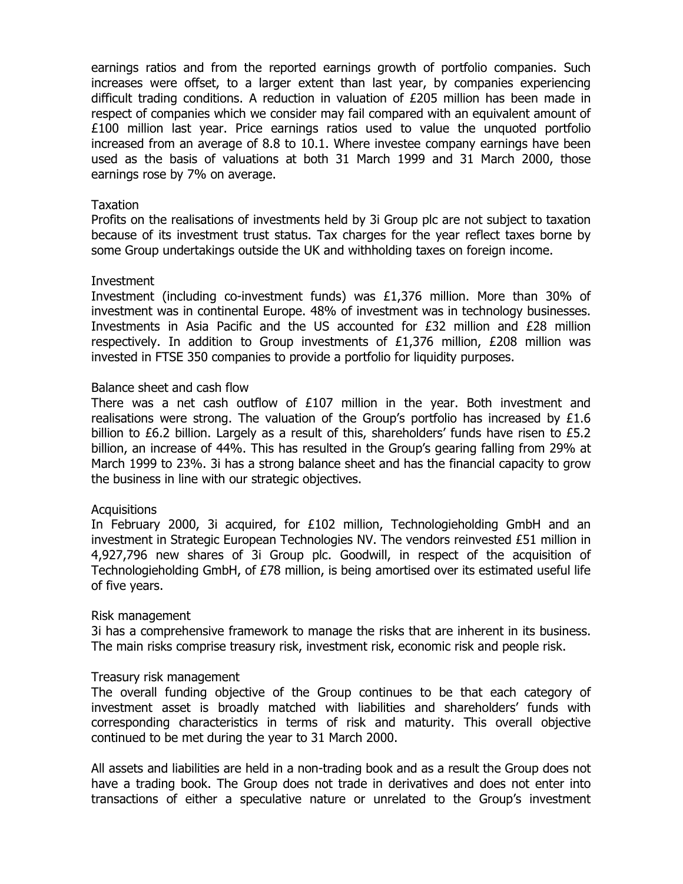earnings ratios and from the reported earnings growth of portfolio companies. Such increases were offset, to a larger extent than last year, by companies experiencing difficult trading conditions. A reduction in valuation of £205 million has been made in respect of companies which we consider may fail compared with an equivalent amount of £100 million last year. Price earnings ratios used to value the unquoted portfolio increased from an average of 8.8 to 10.1. Where investee company earnings have been used as the basis of valuations at both 31 March 1999 and 31 March 2000, those earnings rose by 7% on average.

#### Taxation

Profits on the realisations of investments held by 3i Group plc are not subject to taxation because of its investment trust status. Tax charges for the year reflect taxes borne by some Group undertakings outside the UK and withholding taxes on foreign income.

#### Investment

Investment (including co-investment funds) was £1,376 million. More than 30% of investment was in continental Europe. 48% of investment was in technology businesses. Investments in Asia Pacific and the US accounted for £32 million and £28 million respectively. In addition to Group investments of  $£1,376$  million,  $£208$  million was invested in FTSE 350 companies to provide a portfolio for liquidity purposes.

#### Balance sheet and cash flow

There was a net cash outflow of  $E107$  million in the year. Both investment and realisations were strong. The valuation of the Group's portfolio has increased by £1.6 billion to £6.2 billion. Largely as a result of this, shareholders' funds have risen to £5.2 billion, an increase of 44%. This has resulted in the Group's gearing falling from 29% at March 1999 to 23%. 3i has a strong balance sheet and has the financial capacity to grow the business in line with our strategic objectives.

#### **Acquisitions**

In February 2000, 3i acquired, for £102 million, Technologieholding GmbH and an investment in Strategic European Technologies NV. The vendors reinvested £51 million in 4,927,796 new shares of 3i Group plc. Goodwill, in respect of the acquisition of Technologieholding GmbH, of £78 million, is being amortised over its estimated useful life of five years.

#### Risk management

3i has a comprehensive framework to manage the risks that are inherent in its business. The main risks comprise treasury risk, investment risk, economic risk and people risk.

#### Treasury risk management

The overall funding objective of the Group continues to be that each category of investment asset is broadly matched with liabilities and shareholders' funds with corresponding characteristics in terms of risk and maturity. This overall objective continued to be met during the year to 31 March 2000.

All assets and liabilities are held in a non-trading book and as a result the Group does not have a trading book. The Group does not trade in derivatives and does not enter into transactions of either a speculative nature or unrelated to the Group's investment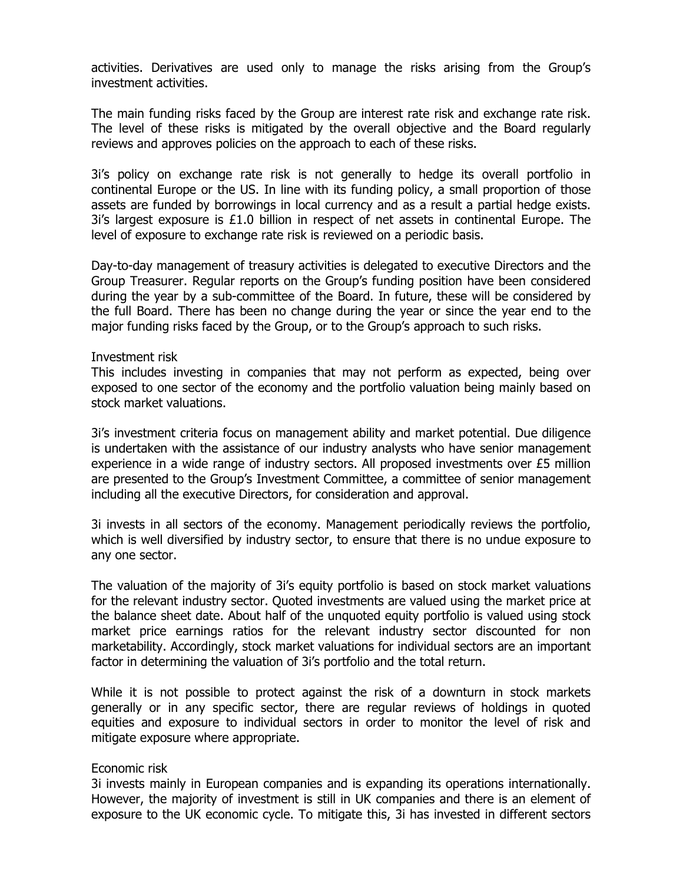activities. Derivatives are used only to manage the risks arising from the Group's investment activities.

The main funding risks faced by the Group are interest rate risk and exchange rate risk. The level of these risks is mitigated by the overall objective and the Board regularly reviews and approves policies on the approach to each of these risks.

3i's policy on exchange rate risk is not generally to hedge its overall portfolio in continental Europe or the US. In line with its funding policy, a small proportion of those assets are funded by borrowings in local currency and as a result a partial hedge exists. 3i's largest exposure is £1.0 billion in respect of net assets in continental Europe. The level of exposure to exchange rate risk is reviewed on a periodic basis.

Day-to-day management of treasury activities is delegated to executive Directors and the Group Treasurer. Regular reports on the Group's funding position have been considered during the year by a sub-committee of the Board. In future, these will be considered by the full Board. There has been no change during the year or since the year end to the major funding risks faced by the Group, or to the Group's approach to such risks.

#### Investment risk

This includes investing in companies that may not perform as expected, being over exposed to one sector of the economy and the portfolio valuation being mainly based on stock market valuations.

3i's investment criteria focus on management ability and market potential. Due diligence is undertaken with the assistance of our industry analysts who have senior management experience in a wide range of industry sectors. All proposed investments over £5 million are presented to the Group's Investment Committee, a committee of senior management including all the executive Directors, for consideration and approval.

3i invests in all sectors of the economy. Management periodically reviews the portfolio, which is well diversified by industry sector, to ensure that there is no undue exposure to any one sector.

The valuation of the majority of 3i's equity portfolio is based on stock market valuations for the relevant industry sector. Quoted investments are valued using the market price at the balance sheet date. About half of the unquoted equity portfolio is valued using stock market price earnings ratios for the relevant industry sector discounted for non marketability. Accordingly, stock market valuations for individual sectors are an important factor in determining the valuation of 3i's portfolio and the total return.

While it is not possible to protect against the risk of a downturn in stock markets generally or in any specific sector, there are regular reviews of holdings in quoted equities and exposure to individual sectors in order to monitor the level of risk and mitigate exposure where appropriate.

#### Economic risk

3i invests mainly in European companies and is expanding its operations internationally. However, the majority of investment is still in UK companies and there is an element of exposure to the UK economic cycle. To mitigate this, 3i has invested in different sectors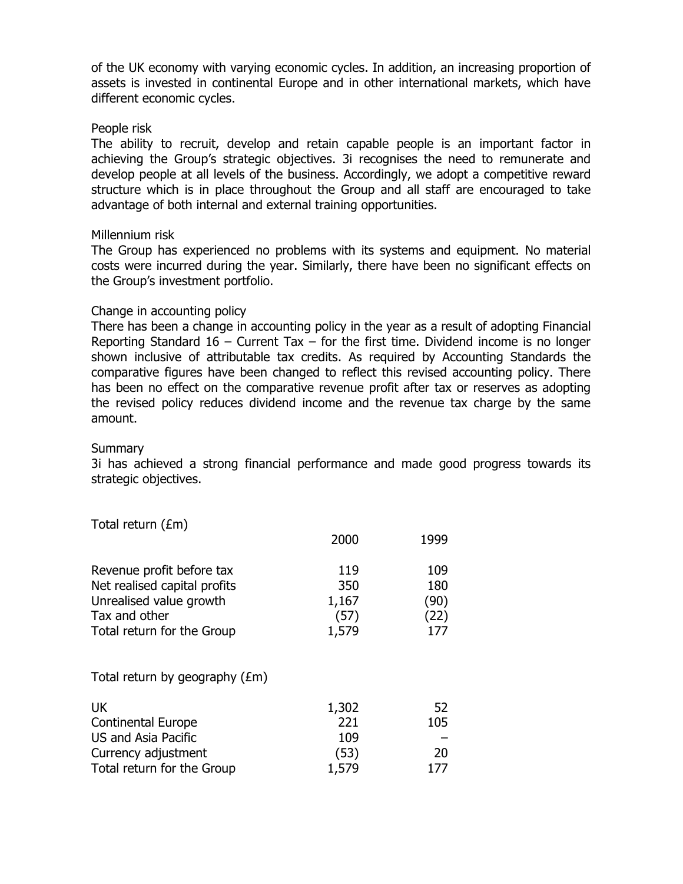of the UK economy with varying economic cycles. In addition, an increasing proportion of assets is invested in continental Europe and in other international markets, which have different economic cycles.

#### People risk

The ability to recruit, develop and retain capable people is an important factor in achieving the Group's strategic objectives. 3i recognises the need to remunerate and develop people at all levels of the business. Accordingly, we adopt a competitive reward structure which is in place throughout the Group and all staff are encouraged to take advantage of both internal and external training opportunities.

#### Millennium risk

The Group has experienced no problems with its systems and equipment. No material costs were incurred during the year. Similarly, there have been no significant effects on the Group's investment portfolio.

## Change in accounting policy

There has been a change in accounting policy in the year as a result of adopting Financial Reporting Standard 16 – Current Tax – for the first time. Dividend income is no longer shown inclusive of attributable tax credits. As required by Accounting Standards the comparative figures have been changed to reflect this revised accounting policy. There has been no effect on the comparative revenue profit after tax or reserves as adopting the revised policy reduces dividend income and the revenue tax charge by the same amount.

#### **Summary**

3i has achieved a strong financial performance and made good progress towards its strategic objectives.

Total return (£m)

|                                                                                                                                     | 2000                                 | 1999                              |
|-------------------------------------------------------------------------------------------------------------------------------------|--------------------------------------|-----------------------------------|
| Revenue profit before tax<br>Net realised capital profits<br>Unrealised value growth<br>Tax and other<br>Total return for the Group | 119<br>350<br>1,167<br>(57)<br>1,579 | 109<br>180<br>(90)<br>(22)<br>177 |
| Total return by geography $(\text{\textsterling m})$                                                                                |                                      |                                   |
| <b>UK</b><br><b>Continental Europe</b><br>US and Asia Pacific<br>Currency adjustment<br>Total return for the Group                  | 1,302<br>221<br>109<br>(53)<br>1,579 | 52<br>105<br>20<br>177            |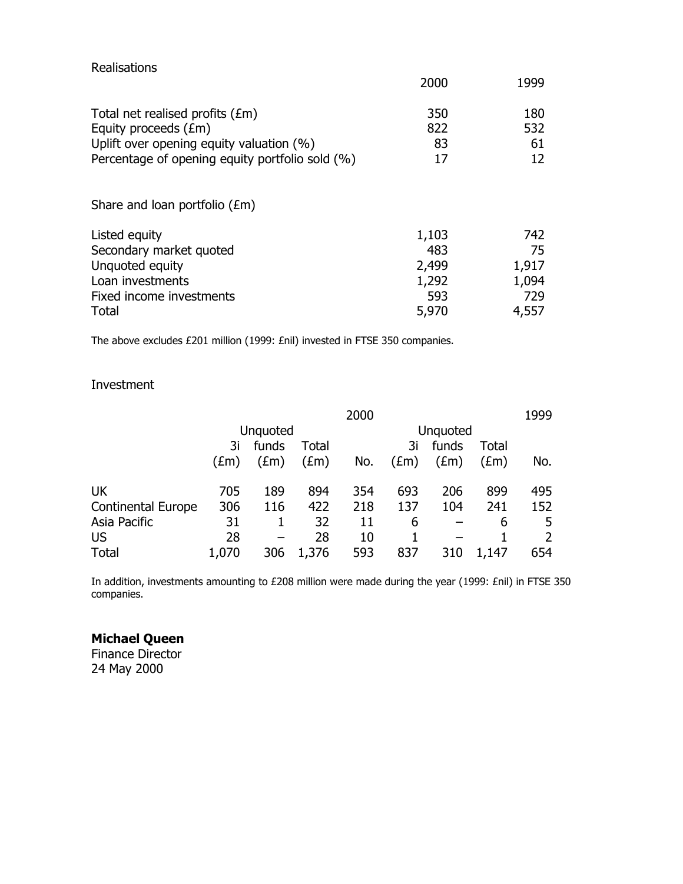| Realisations                                                                                                                                           |                                                |                                             |
|--------------------------------------------------------------------------------------------------------------------------------------------------------|------------------------------------------------|---------------------------------------------|
|                                                                                                                                                        | 2000                                           | 1999                                        |
| Total net realised profits (£m)<br>Equity proceeds (£m)<br>Uplift over opening equity valuation (%)<br>Percentage of opening equity portfolio sold (%) | 350<br>822<br>83<br>17                         | 180<br>532<br>61<br>12                      |
| Share and loan portfolio $(\text{\textsterling m})$                                                                                                    |                                                |                                             |
| Listed equity<br>Secondary market quoted<br>Unquoted equity<br>Loan investments<br>Fixed income investments<br>Total                                   | 1,103<br>483<br>2,499<br>1,292<br>593<br>5,970 | 742<br>75<br>1,917<br>1,094<br>729<br>4,557 |

The above excludes £201 million (1999: £nil) invested in FTSE 350 companies.

# Investment

|                           |               |                 |               | 2000 |               |               |               | 1999 |
|---------------------------|---------------|-----------------|---------------|------|---------------|---------------|---------------|------|
|                           |               | <b>Unquoted</b> |               |      |               | Unquoted      |               |      |
|                           | 3i            | funds           | <b>Total</b>  |      | 3i            | funds         | Total         |      |
|                           | $(\text{Em})$ | $(\text{fm})$   | $(\text{fm})$ | No.  | $(\text{Em})$ | $(\text{fm})$ | $(\text{Em})$ | No.  |
| UK                        | 705           | 189             | 894           | 354  | 693           | 206           | 899           | 495  |
| <b>Continental Europe</b> | 306           | 116             | 422           | 218  | 137           | 104           | 241           | 152  |
| Asia Pacific              | 31            |                 | 32            | 11   | 6             |               | 6             | 5    |
| <b>US</b>                 | 28            | -               | 28            | 10   |               |               |               |      |
| <b>Total</b>              | 1,070         | 306             | 1,376         | 593  | 837           | 310           | 1,147         | 654  |

In addition, investments amounting to £208 million were made during the year (1999: £nil) in FTSE 350 companies.

# **Michael Queen**

Finance Director 24 May 2000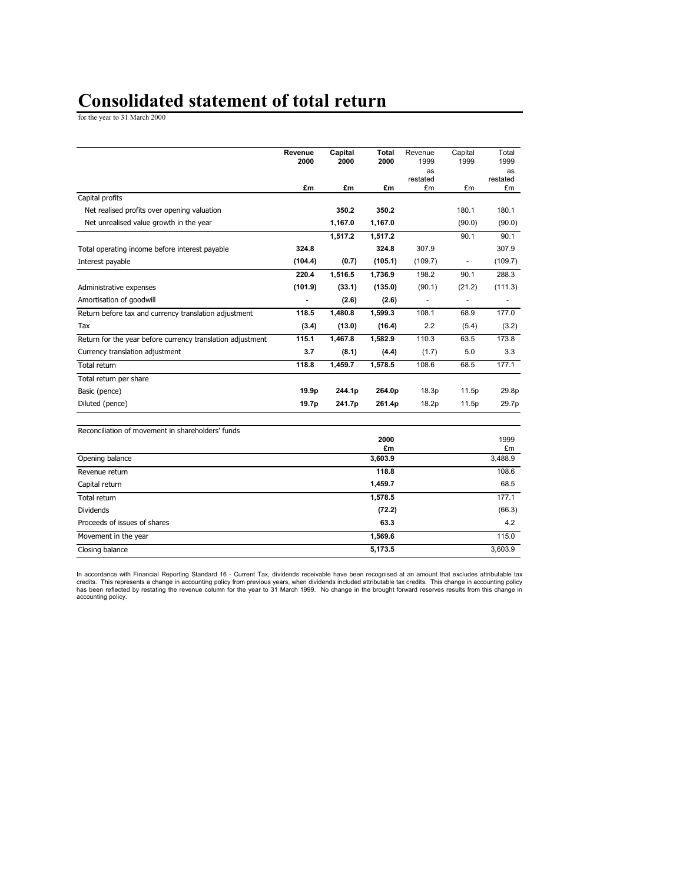# **Consolidated statement of total return**

for the year to 31 March 2000

|                                                            | Revenue<br>2000 | Capital<br>2000 | <b>Total</b><br>2000 | Revenue<br>1999 | Capital<br>1999          | Total<br>1999  |
|------------------------------------------------------------|-----------------|-----------------|----------------------|-----------------|--------------------------|----------------|
|                                                            |                 |                 |                      | as              |                          | as             |
|                                                            | £m              | £m              | £m                   | restated<br>£m  | £m                       | restated<br>£m |
| Capital profits                                            |                 |                 |                      |                 |                          |                |
| Net realised profits over opening valuation                |                 | 350.2           | 350.2                |                 | 180.1                    | 180.1          |
| Net unrealised value growth in the year                    |                 | 1,167.0         | 1,167.0              |                 | (90.0)                   | (90.0)         |
|                                                            |                 | 1,517.2         | 1,517.2              |                 | 90.1                     | 90.1           |
| Total operating income before interest payable             | 324.8           |                 | 324.8                | 307.9           |                          | 307.9          |
| Interest payable                                           | (104.4)         | (0.7)           | (105.1)              | (109.7)         | $\overline{\phantom{a}}$ | (109.7)        |
|                                                            | 220.4           | 1,516.5         | 1,736.9              | 198.2           | 90.1                     | 288.3          |
| Administrative expenses                                    | (101.9)         | (33.1)          | (135.0)              | (90.1)          | (21.2)                   | (111.3)        |
| Amortisation of goodwill                                   |                 | (2.6)           | (2.6)                |                 |                          |                |
| Return before tax and currency translation adjustment      | 118.5           | 1.480.8         | 1,599.3              | 108.1           | 68.9                     | 177.0          |
| Tax                                                        | (3.4)           | (13.0)          | (16.4)               | 2.2             | (5.4)                    | (3.2)          |
| Return for the year before currency translation adjustment | 115.1           | 1,467.8         | 1,582.9              | 110.3           | 63.5                     | 173.8          |
| Currency translation adjustment                            | 3.7             | (8.1)           | (4.4)                | (1.7)           | 5.0                      | 3.3            |
| Total return                                               | 118.8           | 1.459.7         | 1,578.5              | 108.6           | 68.5                     | 177.1          |
| Total return per share                                     |                 |                 |                      |                 |                          |                |
| Basic (pence)                                              | 19.9p           | 244.1p          | 264.0p               | 18.3p           | 11.5p                    | 29.8p          |
| Diluted (pence)                                            | 19.7p           | 241.7p          | 261.4p               | 18.2p           | 11.5p                    | 29.7p          |
| Reconciliation of movement in shareholders' funds          |                 |                 | 0000                 |                 |                          | 1000           |

|                              | 2000    | 1999    |
|------------------------------|---------|---------|
|                              | £m      | £m      |
| Opening balance              | 3,603.9 | 3,488.9 |
| Revenue return               | 118.8   | 108.6   |
| Capital return               | 1,459.7 | 68.5    |
| Total return                 | 1,578.5 | 177.1   |
| <b>Dividends</b>             | (72.2)  | (66.3)  |
| Proceeds of issues of shares | 63.3    | 4.2     |
| Movement in the year         | 1,569.6 | 115.0   |
| Closing balance              | 5,173.5 | 3,603.9 |

In accordance with Financial Reporting Standard 16 - Current Tax, dividends receivable have been recognised at an amount that excludes attributable tax<br>credits. This represents a change in accounting policy from previous y accounting policy.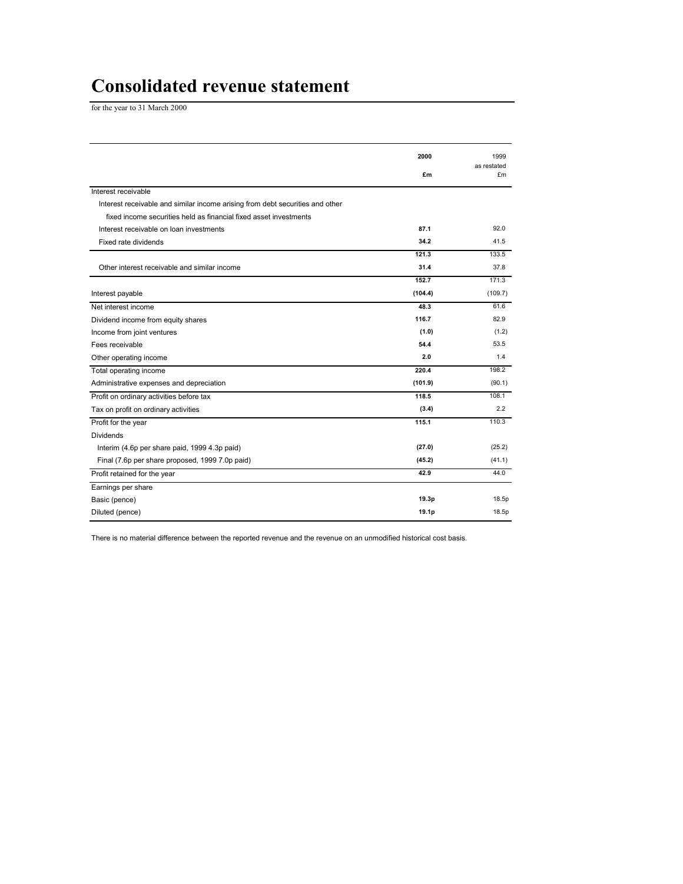# **Consolidated revenue statement**

for the year to 31 March 2000

|                                                                               | 2000    | 1999              |
|-------------------------------------------------------------------------------|---------|-------------------|
|                                                                               | £m      | as restated<br>£m |
| Interest receivable                                                           |         |                   |
| Interest receivable and similar income arising from debt securities and other |         |                   |
| fixed income securities held as financial fixed asset investments             |         |                   |
| Interest receivable on loan investments                                       | 87.1    | 92.0              |
| Fixed rate dividends                                                          | 34.2    | 41.5              |
|                                                                               | 121.3   | 133.5             |
| Other interest receivable and similar income                                  | 31.4    | 37.8              |
|                                                                               | 152.7   | 171.3             |
| Interest payable                                                              | (104.4) | (109.7)           |
| Net interest income                                                           | 48.3    | 61.6              |
| Dividend income from equity shares                                            | 116.7   | 82.9              |
| Income from joint ventures                                                    | (1.0)   | (1.2)             |
| Fees receivable                                                               | 54.4    | 53.5              |
| Other operating income                                                        | 2.0     | 1.4               |
| Total operating income                                                        | 220.4   | 198.2             |
| Administrative expenses and depreciation                                      | (101.9) | (90.1)            |
| Profit on ordinary activities before tax                                      | 118.5   | 108.1             |
| Tax on profit on ordinary activities                                          | (3.4)   | 2.2               |
| Profit for the year                                                           | 115.1   | 110.3             |
| <b>Dividends</b>                                                              |         |                   |
| Interim (4.6p per share paid, 1999 4.3p paid)                                 | (27.0)  | (25.2)            |
| Final (7.6p per share proposed, 1999 7.0p paid)                               | (45.2)  | (41.1)            |
| Profit retained for the year                                                  | 42.9    | 44.0              |
| Earnings per share                                                            |         |                   |
| Basic (pence)                                                                 | 19.3p   | 18.5p             |
| Diluted (pence)                                                               | 19.1p   | 18.5p             |

There is no material difference between the reported revenue and the revenue on an unmodified historical cost basis.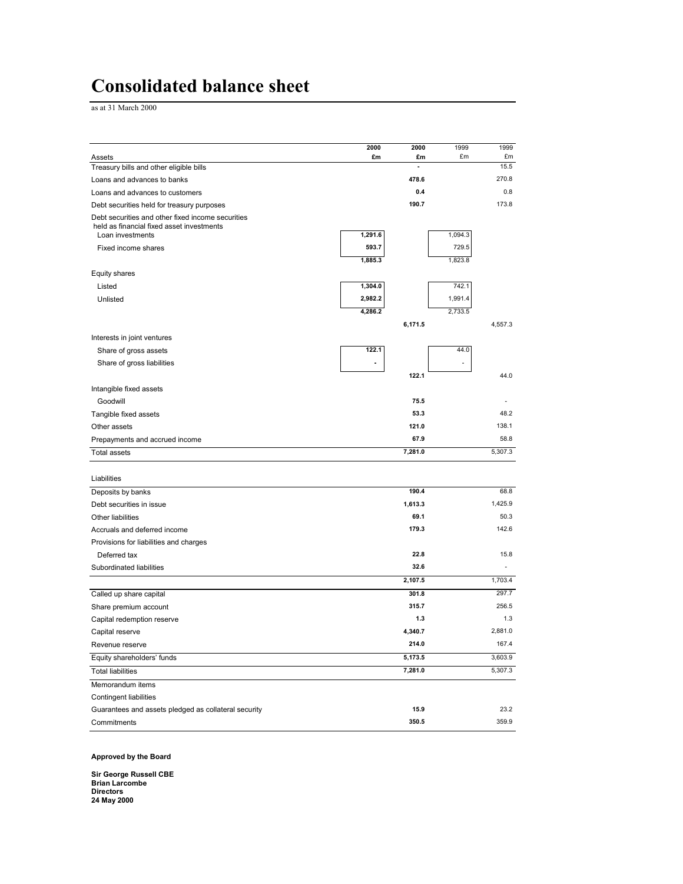# **Consolidated balance sheet**

as at 31 March 2000

|                                                                                                | 2000    | 2000         | 1999    | 1999         |
|------------------------------------------------------------------------------------------------|---------|--------------|---------|--------------|
| Assets                                                                                         | £m      | £m<br>ä,     | £m      | £m<br>15.5   |
| Treasury bills and other eligible bills                                                        |         |              |         |              |
| Loans and advances to banks                                                                    |         | 478.6<br>0.4 |         | 270.8<br>0.8 |
| Loans and advances to customers                                                                |         |              |         |              |
| Debt securities held for treasury purposes                                                     |         | 190.7        |         | 173.8        |
| Debt securities and other fixed income securities<br>held as financial fixed asset investments |         |              |         |              |
| Loan investments                                                                               | 1,291.6 |              | 1,094.3 |              |
| Fixed income shares                                                                            | 593.7   |              | 729.5   |              |
|                                                                                                | 1,885.3 |              | 1,823.8 |              |
| Equity shares                                                                                  |         |              |         |              |
| Listed                                                                                         | 1,304.0 |              | 742.1   |              |
| Unlisted                                                                                       | 2,982.2 |              | 1,991.4 |              |
|                                                                                                | 4,286.2 |              | 2,733.5 |              |
|                                                                                                |         | 6,171.5      |         | 4,557.3      |
| Interests in joint ventures                                                                    |         |              |         |              |
| Share of gross assets                                                                          | 122.1   |              | 44.0    |              |
| Share of gross liabilities                                                                     |         |              |         |              |
|                                                                                                |         | 122.1        |         | 44.0         |
| Intangible fixed assets                                                                        |         |              |         |              |
| Goodwill                                                                                       |         | 75.5         |         |              |
| Tangible fixed assets                                                                          |         | 53.3         |         | 48.2         |
| Other assets                                                                                   |         | 121.0        |         | 138.1        |
| Prepayments and accrued income                                                                 |         | 67.9         |         | 58.8         |
| <b>Total assets</b>                                                                            |         | 7,281.0      |         | 5,307.3      |
|                                                                                                |         |              |         |              |
| Liabilities                                                                                    |         |              |         |              |
| Deposits by banks                                                                              |         | 190.4        |         | 68.8         |
| Debt securities in issue                                                                       |         | 1,613.3      |         | 1,425.9      |
| Other liabilities                                                                              |         | 69.1         |         | 50.3         |
| Accruals and deferred income                                                                   |         | 179.3        |         | 142.6        |
| Provisions for liabilities and charges                                                         |         |              |         |              |
| Deferred tax                                                                                   |         | 22.8         |         | 15.8         |
| Subordinated liabilities                                                                       |         | 32.6         |         |              |
|                                                                                                |         | 2,107.5      |         | 1,703.4      |
|                                                                                                |         | 301.8        |         | 297.7        |
| Called up share capital                                                                        |         |              |         | 256.5        |
| Share premium account                                                                          |         | 315.7        |         |              |
| Capital redemption reserve                                                                     |         | 1.3          |         | 1.3          |
| Capital reserve                                                                                |         | 4,340.7      |         | 2,881.0      |
| Revenue reserve                                                                                |         | 214.0        |         | 167.4        |
| Equity shareholders' funds                                                                     |         | 5,173.5      |         | 3,603.9      |
| <b>Total liabilities</b>                                                                       |         | 7,281.0      |         | 5,307.3      |
| Memorandum items                                                                               |         |              |         |              |
| <b>Contingent liabilities</b>                                                                  |         |              |         |              |
| Guarantees and assets pledged as collateral security                                           |         | 15.9         |         | 23.2         |
| Commitments                                                                                    |         | 350.5        |         | 359.9        |

**Approved by the Board** 

**Sir George Russell CBE Brian Larcombe Directors 24 May 2000**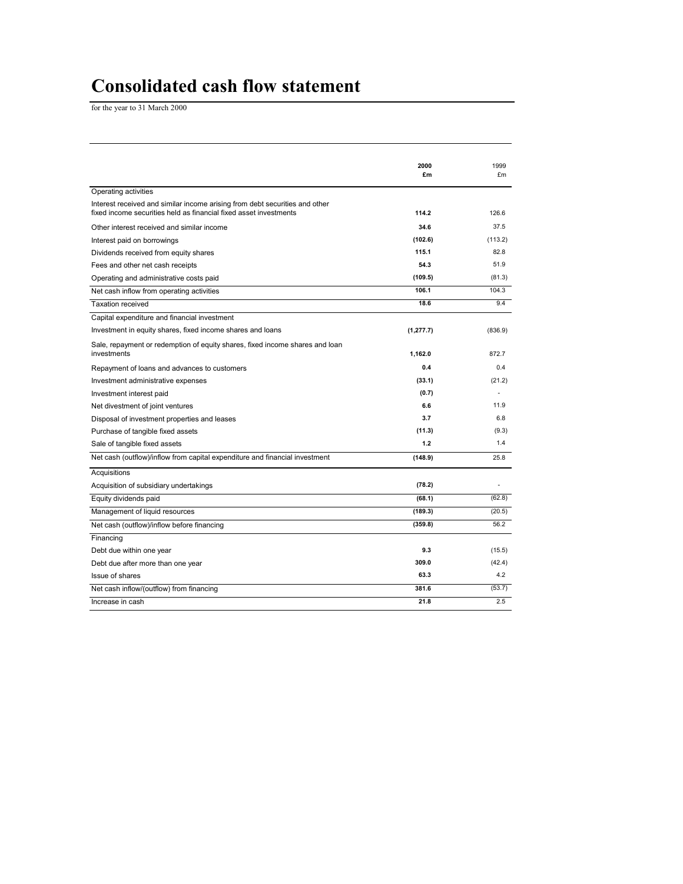# **Consolidated cash flow statement**

for the year to 31 March 2000

|                                                                                                                                                  | 2000<br>£m | 1999<br>£m |
|--------------------------------------------------------------------------------------------------------------------------------------------------|------------|------------|
| Operating activities                                                                                                                             |            |            |
| Interest received and similar income arising from debt securities and other<br>fixed income securities held as financial fixed asset investments | 114.2      | 126.6      |
| Other interest received and similar income                                                                                                       | 34.6       | 37.5       |
| Interest paid on borrowings                                                                                                                      | (102.6)    | (113.2)    |
| Dividends received from equity shares                                                                                                            | 115.1      | 82.8       |
| Fees and other net cash receipts                                                                                                                 | 54.3       | 51.9       |
| Operating and administrative costs paid                                                                                                          | (109.5)    | (81.3)     |
| Net cash inflow from operating activities                                                                                                        | 106.1      | 104.3      |
| <b>Taxation received</b>                                                                                                                         | 18.6       | 9.4        |
| Capital expenditure and financial investment                                                                                                     |            |            |
| Investment in equity shares, fixed income shares and loans                                                                                       | (1, 277.7) | (836.9)    |
| Sale, repayment or redemption of equity shares, fixed income shares and loan<br>investments                                                      | 1,162.0    | 872.7      |
| Repayment of loans and advances to customers                                                                                                     | 0.4        | 0.4        |
| Investment administrative expenses                                                                                                               | (33.1)     | (21.2)     |
| Investment interest paid                                                                                                                         | (0.7)      |            |
| Net divestment of joint ventures                                                                                                                 | 6.6        | 11.9       |
| Disposal of investment properties and leases                                                                                                     | 3.7        | 6.8        |
| Purchase of tangible fixed assets                                                                                                                | (11.3)     | (9.3)      |
| Sale of tangible fixed assets                                                                                                                    | 1.2        | 1.4        |
| Net cash (outflow)/inflow from capital expenditure and financial investment                                                                      | (148.9)    | 25.8       |
| Acquisitions                                                                                                                                     |            |            |
| Acquisition of subsidiary undertakings                                                                                                           | (78.2)     | ä,         |
| Equity dividends paid                                                                                                                            | (68.1)     | (62.8)     |
| Management of liquid resources                                                                                                                   | (189.3)    | (20.5)     |
| Net cash (outflow)/inflow before financing                                                                                                       | (359.8)    | 56.2       |
| Financing                                                                                                                                        |            |            |
| Debt due within one year                                                                                                                         | 9.3        | (15.5)     |
| Debt due after more than one year                                                                                                                | 309.0      | (42.4)     |
| Issue of shares                                                                                                                                  | 63.3       | 4.2        |
| Net cash inflow/(outflow) from financing                                                                                                         | 381.6      | (53.7)     |
| Increase in cash                                                                                                                                 | 21.8       | 2.5        |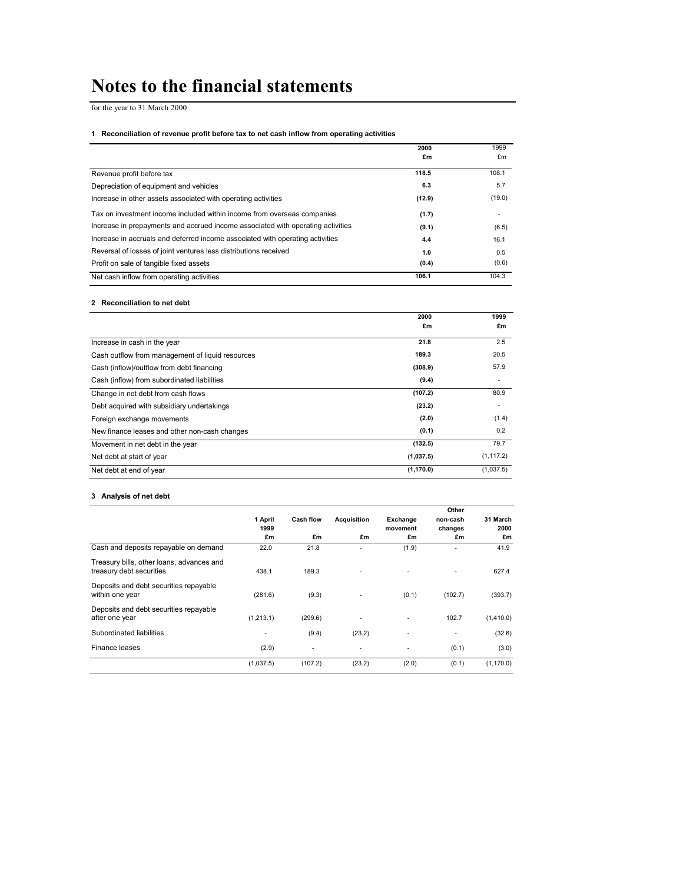# **Notes to the financial statements**

for the year to 31 March 2000

#### **1 Reconciliation of revenue profit before tax to net cash inflow from operating activities**

|                                                                                 | 2000   | 1999   |
|---------------------------------------------------------------------------------|--------|--------|
|                                                                                 | £m     | £m     |
| Revenue profit before tax                                                       | 118.5  | 108.1  |
| Depreciation of equipment and vehicles                                          | 6.3    | 5.7    |
| Increase in other assets associated with operating activities                   | (12.9) | (19.0) |
| Tax on investment income included within income from overseas companies         | (1.7)  | ۰      |
| Increase in prepayments and accrued income associated with operating activities | (9.1)  | (6.5)  |
| Increase in accruals and deferred income associated with operating activities   | 4.4    | 16.1   |
| Reversal of losses of joint ventures less distributions received                | 1.0    | 0.5    |
| Profit on sale of tangible fixed assets                                         | (0.4)  | (0.6)  |
| Net cash inflow from operating activities                                       | 106.1  | 104.3  |

#### **2 Reconciliation to net debt**

|                                                  | 2000       | 1999       |
|--------------------------------------------------|------------|------------|
|                                                  | £m         | £m         |
| Increase in cash in the year                     | 21.8       | 2.5        |
| Cash outflow from management of liquid resources | 189.3      | 20.5       |
| Cash (inflow)/outflow from debt financing        | (308.9)    | 57.9       |
| Cash (inflow) from subordinated liabilities      | (9.4)      |            |
| Change in net debt from cash flows               | (107.2)    | 80.9       |
| Debt acquired with subsidiary undertakings       | (23.2)     | ٠          |
| Foreign exchange movements                       | (2.0)      | (1.4)      |
| New finance leases and other non-cash changes    | (0.1)      | 0.2        |
| Movement in net debt in the year                 | (132.5)    | 79.7       |
| Net debt at start of year                        | (1,037.5)  | (1, 117.2) |
| Net debt at end of year                          | (1, 170.0) | (1,037.5)  |

#### **3 Analysis of net debt**

|                                                                       |           |                  |                    |          | Other    |            |
|-----------------------------------------------------------------------|-----------|------------------|--------------------|----------|----------|------------|
|                                                                       | 1 April   | <b>Cash flow</b> | <b>Acquisition</b> | Exchange | non-cash | 31 March   |
|                                                                       | 1999      |                  |                    | movement | changes  | 2000       |
|                                                                       | £m        | £m               | £m                 | £m       | £m       | £m         |
| Cash and deposits repayable on demand                                 | 22.0      | 21.8             | ۰                  | (1.9)    | ٠        | 41.9       |
| Treasury bills, other loans, advances and<br>treasury debt securities | 438.1     | 189.3            |                    | ۰        | ٠        | 627.4      |
| Deposits and debt securities repayable<br>within one year             | (281.6)   | (9.3)            |                    | (0.1)    | (102.7)  | (393.7)    |
| Deposits and debt securities repayable<br>after one year              | (1,213.1) | (299.6)          | ۰                  | ۰        | 102.7    | (1,410.0)  |
| Subordinated liabilities                                              | ۰         | (9.4)            | (23.2)             | ٠        | ٠        | (32.6)     |
| Finance leases                                                        | (2.9)     | ٠                | ٠                  | ٠        | (0.1)    | (3.0)      |
|                                                                       | (1,037.5) | (107.2)          | (23.2)             | (2.0)    | (0.1)    | (1, 170.0) |